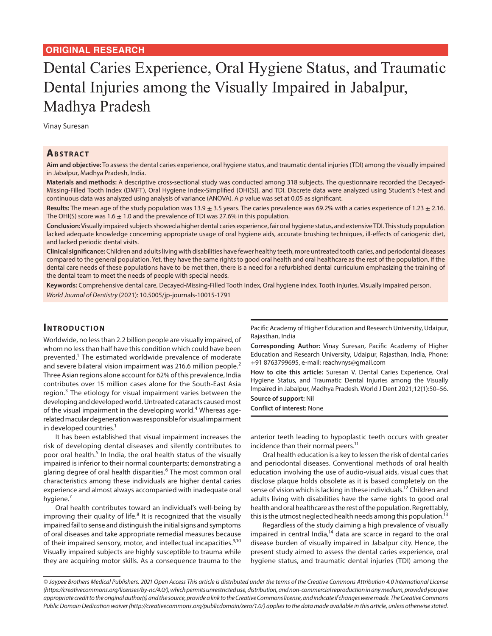# Dental Caries Experience, Oral Hygiene Status, and Traumatic Dental Injuries among the Visually Impaired in Jabalpur, Madhya Pradesh

Vinay Suresan

## **ABSTRACT**

**Aim and objective:** To assess the dental caries experience, oral hygiene status, and traumatic dental injuries (TDI) among the visually impaired in Jabalpur, Madhya Pradesh, India.

**Materials and methods:** A descriptive cross-sectional study was conducted among 318 subjects. The questionnaire recorded the Decayed-Missing-Filled Tooth Index (DMFT), Oral Hygiene Index-Simplified [OHI(S)], and TDI. Discrete data were analyzed using Student's *t*-test and continuous data was analyzed using analysis of variance (ANOVA). A *p* value was set at 0.05 as significant.

Results: The mean age of the study population was 13.9 ± 3.5 years. The caries prevalence was 69.2% with a caries experience of 1.23 ± 2.16. The OHI(S) score was 1.6  $\pm$  1.0 and the prevalence of TDI was 27.6% in this population.

**Conclusion:** Visually impaired subjects showed a higher dental caries experience, fair oral hygiene status, and extensive TDI. This study population lacked adequate knowledge concerning appropriate usage of oral hygiene aids, accurate brushing techniques, ill-effects of cariogenic diet, and lacked periodic dental visits.

**Clinical significance:** Children and adults living with disabilities have fewer healthy teeth, more untreated tooth caries, and periodontal diseases compared to the general population. Yet, they have the same rights to good oral health and oral healthcare as the rest of the population. If the dental care needs of these populations have to be met then, there is a need for a refurbished dental curriculum emphasizing the training of the dental team to meet the needs of people with special needs.

**Keywords:** Comprehensive dental care, Decayed-Missing-Filled Tooth Index, Oral hygiene index, Tooth injuries, Visually impaired person. *World Journal of Dentistry* (2021): 10.5005/jp-journals-10015-1791

# **INTRODUCTION**

Worldwide, no less than 2.2 billion people are visually impaired, of whom no less than half have this condition which could have been prevented.<sup>1</sup> The estimated worldwide prevalence of moderate and severe bilateral vision impairment was 216.6 million people.<sup>2</sup> Three Asian regions alone account for 62% of this prevalence, India contributes over 15 million cases alone for the South-East Asia region.<sup>3</sup> The etiology for visual impairment varies between the developing and developed world. Untreated cataracts caused most of the visual impairment in the developing world.<sup>4</sup> Whereas agerelated macular degeneration was responsible for visual impairment in developed countries.<sup>1</sup>

It has been established that visual impairment increases the risk of developing dental diseases and silently contributes to poor oral health.<sup>5</sup> In India, the oral health status of the visually impaired is inferior to their normal counterparts; demonstrating a glaring degree of oral health disparities.<sup>6</sup> The most common oral characteristics among these individuals are higher dental caries experience and almost always accompanied with inadequate oral hygiene.<sup>7</sup>

Oral health contributes toward an individual's well-being by improving their quality of life.<sup>8</sup> It is recognized that the visually impaired fail to sense and distinguish the initial signs and symptoms of oral diseases and take appropriate remedial measures because of their impaired sensory, motor, and intellectual incapacities.<sup>9,10</sup> Visually impaired subjects are highly susceptible to trauma while they are acquiring motor skills. As a consequence trauma to the

Pacific Academy of Higher Education and Research University, Udaipur, Rajasthan, India

**Corresponding Author:** Vinay Suresan, Pacific Academy of Higher Education and Research University, Udaipur, Rajasthan, India, Phone: +91 8763799695, e-mail: reachvnys@gmail.com

**How to cite this article:** Suresan V. Dental Caries Experience, Oral Hygiene Status, and Traumatic Dental Injuries among the Visually Impaired in Jabalpur, Madhya Pradesh. World J Dent 2021;12(1):50–56. **Source of support:** Nil

**Conflict of interest:** None

anterior teeth leading to hypoplastic teeth occurs with greater incidence than their normal peers.<sup>11</sup>

Oral health education is a key to lessen the risk of dental caries and periodontal diseases. Conventional methods of oral health education involving the use of audio-visual aids, visual cues that disclose plaque holds obsolete as it is based completely on the sense of vision which is lacking in these individuals.<sup>12</sup> Children and adults living with disabilities have the same rights to good oral health and oral healthcare as the rest of the population. Regrettably, this is the utmost neglected health needs among this population.<sup>13</sup>

Regardless of the study claiming a high prevalence of visually impaired in central India,<sup>14</sup> data are scarce in regard to the oral disease burden of visually impaired in Jabalpur city. Hence, the present study aimed to assess the dental caries experience, oral hygiene status, and traumatic dental injuries (TDI) among the

*<sup>©</sup> Jaypee Brothers Medical Publishers. 2021 Open Access This article is distributed under the terms of the Creative Commons Attribution 4.0 International License (https://creativecommons.org/licenses/by-nc/4.0/), which permits unrestricted use, distribution, and non-commercial reproduction in any medium, provided you give appropriate credit to the original author(s) and the source, provide a link to the Creative Commons license, and indicate if changes were made. The Creative Commons Public Domain Dedication waiver (http://creativecommons.org/publicdomain/zero/1.0/) applies to the data made available in this article, unless otherwise stated.*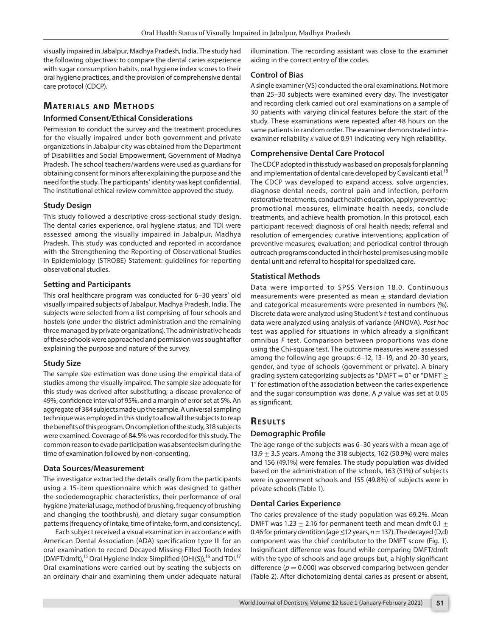visually impaired in Jabalpur, Madhya Pradesh, India. The study had the following objectives: to compare the dental caries experience with sugar consumption habits, oral hygiene index scores to their oral hygiene practices, and the provision of comprehensive dental care protocol (CDCP).

# **MATERIALS AND METHODS**

## **Informed Consent/Ethical Considerations**

Permission to conduct the survey and the treatment procedures for the visually impaired under both government and private organizations in Jabalpur city was obtained from the Department of Disabilities and Social Empowerment, Government of Madhya Pradesh. The school teachers/wardens were used as guardians for obtaining consent for minors after explaining the purpose and the need for the study. The participants' identity was kept confidential. The institutional ethical review committee approved the study.

# **Study Design**

This study followed a descriptive cross-sectional study design. The dental caries experience, oral hygiene status, and TDI were assessed among the visually impaired in Jabalpur, Madhya Pradesh. This study was conducted and reported in accordance with the Strengthening the Reporting of Observational Studies in Epidemiology (STROBE) Statement: guidelines for reporting observational studies.

## **Setting and Participants**

This oral healthcare program was conducted for 6–30 years' old visually impaired subjects of Jabalpur, Madhya Pradesh, India. The subjects were selected from a list comprising of four schools and hostels (one under the district administration and the remaining three managed by private organizations). The administrative heads of these schools were approached and permission was sought after explaining the purpose and nature of the survey.

# **Study Size**

The sample size estimation was done using the empirical data of studies among the visually impaired. The sample size adequate for this study was derived after substituting; a disease prevalence of 49%, confidence interval of 95%, and a margin of error set at 5%. An aggregate of 384 subjects made up the sample. A universal sampling technique was employed in this study to allow all the subjects to reap the benefits of this program. On completion of the study, 318 subjects were examined. Coverage of 84.5% was recorded for this study. The common reason to evade participation was absenteeism during the time of examination followed by non-consenting.

# **Data Sources/Measurement**

The investigator extracted the details orally from the participants using a 15-item questionnaire which was designed to gather the sociodemographic characteristics, their performance of oral hygiene (material usage, method of brushing, frequency of brushing and changing the toothbrush), and dietary sugar consumption patterns (frequency of intake, time of intake, form, and consistency).

Each subject received a visual examination in accordance with American Dental Association (ADA) specification type III for an oral examination to record Decayed-Missing-Filled Tooth Index (DMFT/dmft),<sup>15</sup> Oral Hygiene Index-Simplified (OHI(S)),<sup>16</sup> and TDI.<sup>17</sup> Oral examinations were carried out by seating the subjects on an ordinary chair and examining them under adequate natural

illumination. The recording assistant was close to the examiner aiding in the correct entry of the codes.

## **Control of Bias**

A single examiner (VS) conducted the oral examinations. Not more than 25–30 subjects were examined every day. The investigator and recording clerk carried out oral examinations on a sample of 30 patients with varying clinical features before the start of the study. These examinations were repeated after 48 hours on the same patients in random order. The examiner demonstrated intraexaminer reliability *κ* value of 0.91 indicating very high reliability.

# **Comprehensive Dental Care Protocol**

The CDCP adopted in this study was based on proposals for planning and implementation of dental care developed by Cavalcanti et al.<sup>18</sup> The CDCP was developed to expand access, solve urgencies, diagnose dental needs, control pain and infection, perform restorative treatments, conduct health education, apply preventivepromotional measures, eliminate health needs, conclude treatments, and achieve health promotion. In this protocol, each participant received: diagnosis of oral health needs; referral and resolution of emergencies; curative interventions; application of preventive measures; evaluation; and periodical control through outreach programs conducted in their hostel premises using mobile dental unit and referral to hospital for specialized care.

# **Statistical Methods**

Data were imported to SPSS Version 18.0. Continuous measurements were presented as mean  $\pm$  standard deviation and categorical measurements were presented in numbers (%). Discrete data were analyzed using Student's *t*-test and continuous data were analyzed using analysis of variance (ANOVA). *Post hoc* test was applied for situations in which already a significant omnibus *F* test. Comparison between proportions was done using the Chi-square test. The outcome measures were assessed among the following age groups: 6–12, 13–19, and 20–30 years, gender, and type of schools (government or private). A binary grading system categorizing subjects as "DMFT = 0" or "DMFT  $\geq$ 1" for estimation of the association between the caries experience and the sugar consumption was done. A *p* value was set at 0.05 as significant.

# **RESULTS**

# **Demographic Profile**

The age range of the subjects was 6–30 years with a mean age of 13.9  $\pm$  3.5 years. Among the 318 subjects, 162 (50.9%) were males and 156 (49.1%) were females. The study population was divided based on the administration of the schools, 163 (51%) of subjects were in government schools and 155 (49.8%) of subjects were in private schools (Table 1).

# **Dental Caries Experience**

The caries prevalence of the study population was 69.2%. Mean DMFT was 1.23  $\pm$  2.16 for permanent teeth and mean dmft 0.1  $\pm$ 0.46 for primary dentition (age  $\leq 12$  years,  $n = 137$ ). The decayed (D,d) component was the chief contributor to the DMFT score (Fig. 1). Insignificant difference was found while comparing DMFT/dmft with the type of schools and age groups but, a highly significant difference ( $p = 0.000$ ) was observed comparing between gender (Table 2). After dichotomizing dental caries as present or absent,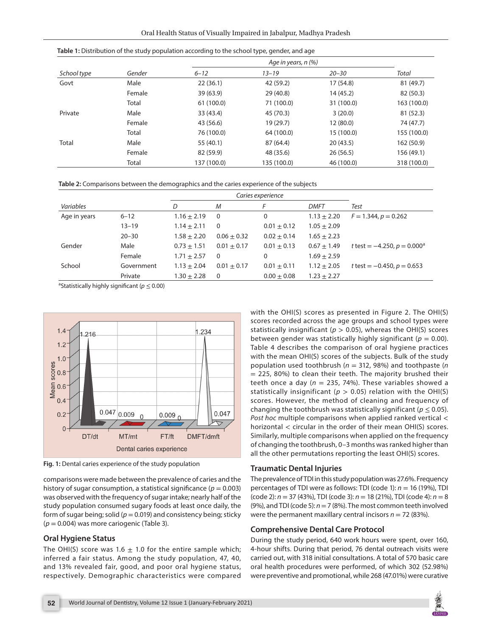| School type | Gender |             |             |            |             |  |
|-------------|--------|-------------|-------------|------------|-------------|--|
|             |        | $6 - 12$    | $13 - 19$   | $20 - 30$  | Total       |  |
| Govt        | Male   | 22(36.1)    | 42 (59.2)   | 17(54.8)   | 81 (49.7)   |  |
|             | Female | 39(63.9)    | 29(40.8)    | 14 (45.2)  | 82 (50.3)   |  |
|             | Total  | 61 (100.0)  | 71 (100.0)  | 31 (100.0) | 163 (100.0) |  |
| Private     | Male   | 33 (43.4)   | 45 (70.3)   | 3(20.0)    | 81 (52.3)   |  |
|             | Female | 43 (56.6)   | 19 (29.7)   | 12(80.0)   | 74 (47.7)   |  |
|             | Total  | 76 (100.0)  | 64 (100.0)  | 15 (100.0) | 155 (100.0) |  |
| Total       | Male   | 55 (40.1)   | 87 (64.4)   | 20(43.5)   | 162 (50.9)  |  |
|             | Female | 82 (59.9)   | 48 (35.6)   | 26(56.5)   | 156 (49.1)  |  |
|             | Total  | 137 (100.0) | 135 (100.0) | 46 (100.0) | 318 (100.0) |  |

**Table 2:** Comparisons between the demographics and the caries experience of the subjects

**Table 1:** Distribution of the study population according to the school type, gender, and age

|              |            | Caries experience |                 |                 |                 |                                   |
|--------------|------------|-------------------|-----------------|-----------------|-----------------|-----------------------------------|
| Variables    |            | D                 | M               |                 | <b>DMFT</b>     | Test                              |
| Age in years | $6 - 12$   | $1.16 \pm 2.19$   | $\Omega$        | 0               | $1.13 \pm 2.20$ | $F = 1.344, p = 0.262$            |
|              | $13 - 19$  | $1.14 \pm 2.11$   | $\Omega$        | $0.01 \pm 0.12$ | $1.05 \pm 2.09$ |                                   |
|              | $20 - 30$  | $1.58 + 2.20$     | $0.06 \pm 0.32$ | $0.02 + 0.14$   | $1.65 \pm 2.23$ |                                   |
| Gender       | Male       | $0.73 \pm 1.51$   | $0.01 + 0.17$   | $0.01 \pm 0.13$ | $0.67 \pm 1.49$ | t test = $-4.250$ , $p = 0.000^a$ |
|              | Female     | $1.71 \pm 2.57$   | $\Omega$        | 0               | $1.69 \pm 2.59$ |                                   |
| School       | Government | $1.13 \pm 2.04$   | $0.01 \pm 0.17$ | $0.01 \pm 0.11$ | $1.12 \pm 2.05$ | t test $= -0.450$ , $p = 0.653$   |
|              | Private    | $1.30 \pm 2.28$   | $\Omega$        | $0.00 \pm 0.08$ | $1.23 \pm 2.27$ |                                   |

a Statistically highly significant (*p* ≤ 0.00)



**Fig. 1:** Dental caries experience of the study population

comparisons were made between the prevalence of caries and the history of sugar consumption, a statistical significance ( $p = 0.003$ ) was observed with the frequency of sugar intake; nearly half of the study population consumed sugary foods at least once daily, the form of sugar being; solid ( $p = 0.019$ ) and consistency being; sticky (*p* = 0.004) was more cariogenic (Table 3).

#### **Oral Hygiene Status**

The OHI(S) score was 1.6  $\pm$  1.0 for the entire sample which; inferred a fair status. Among the study population, 47, 40, and 13% revealed fair, good, and poor oral hygiene status, respectively. Demographic characteristics were compared

with the OHI(S) scores as presented in Figure 2. The OHI(S) scores recorded across the age groups and school types were statistically insignificant ( $p > 0.05$ ), whereas the OHI(S) scores between gender was statistically highly significant ( $p = 0.00$ ). Table 4 describes the comparison of oral hygiene practices with the mean OHI(S) scores of the subjects. Bulk of the study population used toothbrush (*n* = 312, 98%) and toothpaste (*n* = 225, 80%) to clean their teeth. The majority brushed their teeth once a day ( $n = 235, 74%$ ). These variables showed a statistically insignificant ( $p > 0.05$ ) relation with the OHI(S) scores. However, the method of cleaning and frequency of changing the toothbrush was statistically significant ( $p \leq 0.05$ ). *Post hoc* multiple comparisons when applied ranked vertical < horizontal < circular in the order of their mean OHI(S) scores. Similarly, multiple comparisons when applied on the frequency of changing the toothbrush, 0–3 months was ranked higher than all the other permutations reporting the least OHI(S) scores.

#### **Traumatic Dental Injuries**

The prevalence of TDI in this study population was 27.6%. Frequency percentages of TDI were as follows: TDI (code 1): *n* = 16 (19%), TDI (code 2): *n* = 37 (43%), TDI (code 3): *n* = 18 (21%), TDI (code 4): *n* = 8 (9%), and TDI (code 5): *n*= 7 (8%). The most common teeth involved were the permanent maxillary central incisors  $n = 72$  (83%).

#### **Comprehensive Dental Care Protocol**

During the study period, 640 work hours were spent, over 160, 4-hour shifts. During that period, 76 dental outreach visits were carried out, with 318 initial consultations. A total of 570 basic care oral health procedures were performed, of which 302 (52.98%) were preventive and promotional, while 268 (47.01%) were curative

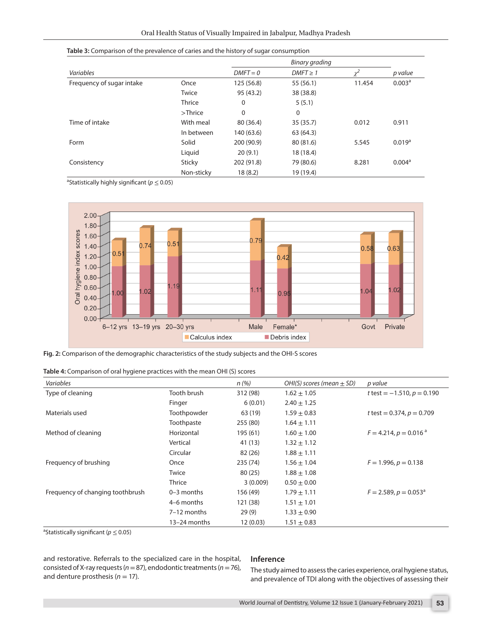|  | Table 3: Comparison of the prevalence of caries and the history of sugar consumption |  |  |
|--|--------------------------------------------------------------------------------------|--|--|
|--|--------------------------------------------------------------------------------------|--|--|

|                           |               |             | Binary grading |        |                    |
|---------------------------|---------------|-------------|----------------|--------|--------------------|
| Variables                 |               | $DMFT = 0$  | $DMFT \geq 1$  |        | p value            |
| Frequency of sugar intake | Once          | 125(56.8)   | 55 (56.1)      | 11.454 | 0.003 <sup>a</sup> |
|                           | Twice         | 95 (43.2)   | 38 (38.8)      |        |                    |
|                           | Thrice        | $\mathbf 0$ | 5(5.1)         |        |                    |
|                           | $>$ Thrice    | $\mathbf 0$ | $\mathbf 0$    |        |                    |
| Time of intake            | With meal     | 80 (36.4)   | 35 (35.7)      | 0.012  | 0.911              |
|                           | In between    | 140 (63.6)  | 63 (64.3)      |        |                    |
| Form                      | Solid         | 200 (90.9)  | 80 (81.6)      | 5.545  | 0.019 <sup>a</sup> |
|                           | Liquid        | 20(9.1)     | 18 (18.4)      |        |                    |
| Consistency               | <b>Sticky</b> | 202 (91.8)  | 79 (80.6)      | 8.281  | 0.004 <sup>a</sup> |
|                           | Non-sticky    | 18(8.2)     | 19 (19.4)      |        |                    |

a Statistically highly significant (*p* ≤ 0.05)



**Fig. 2:** Comparison of the demographic characteristics of the study subjects and the OHI-S scores

| Table 4: Comparison of oral hygiene practices with the mean OHI (S) scores |  |  |  |
|----------------------------------------------------------------------------|--|--|--|
|----------------------------------------------------------------------------|--|--|--|

| Variables                        |                | n(%)     | OHI(S) scores (mean $\pm$ SD) | p value                             |
|----------------------------------|----------------|----------|-------------------------------|-------------------------------------|
| Type of cleaning                 | Tooth brush    | 312 (98) | $1.62 \pm 1.05$               | t test = $-1.510$ , $p = 0.190$     |
|                                  | Finger         | 6(0.01)  | $2.40 \pm 1.25$               |                                     |
| Materials used                   | Toothpowder    | 63 (19)  | $1.59 \pm 0.83$               | t test = $0.374$ , $p = 0.709$      |
|                                  | Toothpaste     | 255 (80) | $1.64 \pm 1.11$               |                                     |
| Method of cleaning               | Horizontal     | 195 (61) | $1.60 \pm 1.00$               | $F = 4.214, p = 0.016$ <sup>a</sup> |
|                                  | Vertical       | 41 (13)  | $1.32 \pm 1.12$               |                                     |
|                                  | Circular       | 82 (26)  | $1.88 \pm 1.11$               |                                     |
| Frequency of brushing            | Once           | 235 (74) | $1.56 \pm 1.04$               | $F = 1.996, p = 0.138$              |
|                                  | Twice          | 80(25)   | $1.88 \pm 1.08$               |                                     |
|                                  | Thrice         | 3(0.009) | $0.50 \pm 0.00$               |                                     |
| Frequency of changing toothbrush | $0 - 3$ months | 156 (49) | $1.79 \pm 1.11$               | $F = 2.589, p = 0.053a$             |
|                                  | 4–6 months     | 121 (38) | $1.51 \pm 1.01$               |                                     |
|                                  | $7-12$ months  | 29(9)    | $1.33 \pm 0.90$               |                                     |
|                                  | 13-24 months   | 12(0.03) | $1.51 \pm 0.83$               |                                     |

a Statistically significant (*p* ≤ 0.05)

and restorative. Referrals to the specialized care in the hospital, consisted of X-ray requests (*n*= 87), endodontic treatments (*n*= 76), and denture prosthesis ( $n = 17$ ).

#### **Inference**

The study aimed to assess the caries experience, oral hygiene status, and prevalence of TDI along with the objectives of assessing their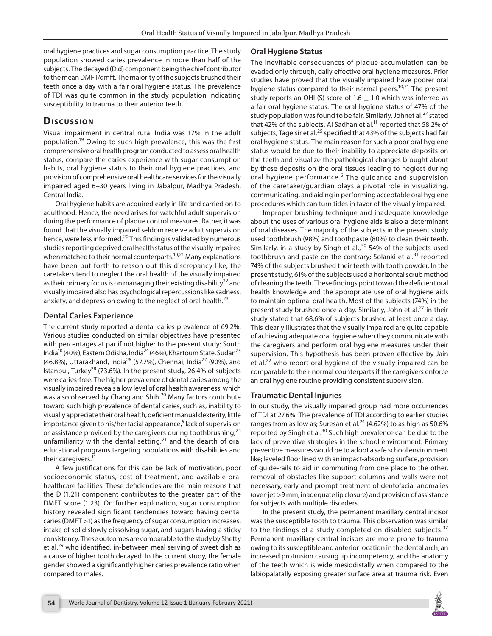oral hygiene practices and sugar consumption practice. The study population showed caries prevalence in more than half of the subjects. The decayed (D,d) component being the chief contributor to the mean DMFT/dmft. The majority of the subjects brushed their teeth once a day with a fair oral hygiene status. The prevalence of TDI was quite common in the study population indicating susceptibility to trauma to their anterior teeth.

# **Dis c u s sio n**

Visual impairment in central rural India was 17% in the adult population.19 Owing to such high prevalence, this was the first comprehensive oral health program conducted to assess oral health status, compare the caries experience with sugar consumption habits, oral hygiene status to their oral hygiene practices, and provision of comprehensive oral healthcare services for the visually impaired aged 6–30 years living in Jabalpur, Madhya Pradesh, Central India.

Oral hygiene habits are acquired early in life and carried on to adulthood. Hence, the need arises for watchful adult supervision during the performance of plaque control measures. Rather, it was found that the visually impaired seldom receive adult supervision hence, were less informed.<sup>20</sup> This finding is validated by numerous studies reporting deprived oral health status of the visually impaired when matched to their normal counterparts.<sup>10,21</sup> Many explanations have been put forth to reason out this discrepancy like; the caretakers tend to neglect the oral health of the visually impaired as their primary focus is on managing their existing disability<sup>22</sup> and visually impaired also has psychological repercussions like sadness, anxiety, and depression owing to the neglect of oral health. $^{23}$ 

# **Dental Caries Experience**

The current study reported a dental caries prevalence of 69.2%. Various studies conducted on similar objectives have presented with percentages at par if not higher to the present study: South India<sup>10</sup> (40%), Eastern Odisha, India<sup>24</sup> (46%), Khartoum State, Sudan<sup>25</sup> (46.8%), Uttarakhand, India<sup>26</sup> (57.7%), Chennai, India<sup>27</sup> (90%), and Istanbul, Turkey<sup>28</sup> (73.6%). In the present study, 26.4% of subjects were caries-free. The higher prevalence of dental caries among the visually impaired reveals a low level of oral health awareness, which was also observed by Chang and Shih.<sup>20</sup> Many factors contribute toward such high prevalence of dental caries, such as, inability to visually appreciate their oral health, deficient manual dexterity, little importance given to his/her facial appearance,<sup>9</sup> lack of supervision or assistance provided by the caregivers during toothbrushing, $^{25}$ unfamiliarity with the dental setting, $21$  and the dearth of oral educational programs targeting populations with disabilities and their caregivers.<sup>11</sup>

A few justifications for this can be lack of motivation, poor socioeconomic status, cost of treatment, and available oral healthcare facilities. These deficiencies are the main reasons that the D (1.21) component contributes to the greater part of the DMFT score (1.23). On further exploration, sugar consumption history revealed significant tendencies toward having dental caries (DMFT >1) as the frequency of sugar consumption increases, intake of solid slowly dissolving sugar, and sugars having a sticky consistency. These outcomes are comparable to the study by Shetty et al.<sup>29</sup> who identified, in-between meal serving of sweet dish as a cause of higher tooth decayed. In the current study, the female gender showed a significantly higher caries prevalence ratio when compared to males.

# **Oral Hygiene Status**

The inevitable consequences of plaque accumulation can be evaded only through, daily effective oral hygiene measures. Prior studies have proved that the visually impaired have poorer oral hygiene status compared to their normal peers.<sup>10,21</sup> The present study reports an OHI (S) score of 1.6  $\pm$  1.0 which was inferred as a fair oral hygiene status. The oral hygiene status of 47% of the study population was found to be fair. Similarly, Johnet al.<sup>27</sup> stated that 42% of the subjects, Al Sadhan et al.<sup>11</sup> reported that 58.2% of subjects, Tagelsir et al.<sup>25</sup> specified that 43% of the subjects had fair oral hygiene status. The main reason for such a poor oral hygiene status would be due to their inability to appreciate deposits on the teeth and visualize the pathological changes brought about by these deposits on the oral tissues leading to neglect during oral hygiene performance.<sup>6</sup> The guidance and supervision of the caretaker/guardian plays a pivotal role in visualizing, communicating, and aiding in performing acceptable oral hygiene procedures which can turn tides in favor of the visually impaired.

Improper brushing technique and inadequate knowledge about the uses of various oral hygiene aids is also a determinant of oral diseases. The majority of the subjects in the present study used toothbrush (98%) and toothpaste (80%) to clean their teeth. Similarly, in a study by Singh et al., $30$  54% of the subjects used toothbrush and paste on the contrary; Solanki et al. $31$  reported 74% of the subjects brushed their teeth with tooth powder. In the present study, 61% of the subjects used a horizontal scrub method of cleaning the teeth. These findings point toward the deficient oral health knowledge and the appropriate use of oral hygiene aids to maintain optimal oral health. Most of the subjects (74%) in the present study brushed once a day. Similarly, John et al. $^{27}$  in their study stated that 68.6% of subjects brushed at least once a day. This clearly illustrates that the visually impaired are quite capable of achieving adequate oral hygiene when they communicate with the caregivers and perform oral hygiene measures under their supervision. This hypothesis has been proven effective by Jain et al. $^{22}$  who report oral hygiene of the visually impaired can be comparable to their normal counterparts if the caregivers enforce an oral hygiene routine providing consistent supervision.

# **Traumatic Dental Injuries**

In our study, the visually impaired group had more occurrences of TDI at 27.6%. The prevalence of TDI according to earlier studies ranges from as low as; Suresan et al.<sup>24</sup> (4.62%) to as high as 50.6% reported by Singh et al.30 Such high prevalence can be due to the lack of preventive strategies in the school environment. Primary preventive measures would be to adopt a safe school environment like; leveled floor lined with an impact-absorbing surface, provision of guide-rails to aid in commuting from one place to the other, removal of obstacles like support columns and walls were not necessary, early and prompt treatment of dentofacial anomalies (over-jet >9 mm, inadequate lip closure) and provision of assistance for subjects with multiple disorders.

In the present study, the permanent maxillary central incisor was the susceptible tooth to trauma. This observation was similar to the findings of a study completed on disabled subjects. $32$ Permanent maxillary central incisors are more prone to trauma owing to its susceptible and anterior location in the dental arch, an increased protrusion causing lip incompetency, and the anatomy of the teeth which is wide mesiodistally when compared to the labiopalatally exposing greater surface area at trauma risk. Even

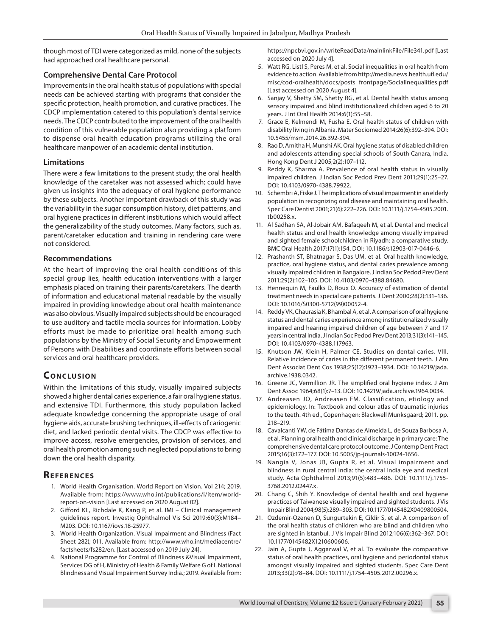though most of TDI were categorized as mild, none of the subjects had approached oral healthcare personal.

#### **Comprehensive Dental Care Protocol**

Improvements in the oral health status of populations with special needs can be achieved starting with programs that consider the specific protection, health promotion, and curative practices. The CDCP implementation catered to this population's dental service needs. The CDCP contributed to the improvement of the oral health condition of this vulnerable population also providing a platform to dispense oral health education programs utilizing the oral healthcare manpower of an academic dental institution.

#### **Limitations**

There were a few limitations to the present study; the oral health knowledge of the caretaker was not assessed which; could have given us insights into the adequacy of oral hygiene performance by these subjects. Another important drawback of this study was the variability in the sugar consumption history, diet patterns, and oral hygiene practices in different institutions which would affect the generalizability of the study outcomes. Many factors, such as, parent/caretaker education and training in rendering care were not considered.

#### **Recommendations**

At the heart of improving the oral health conditions of this special group lies, health education interventions with a larger emphasis placed on training their parents/caretakers. The dearth of information and educational material readable by the visually impaired in providing knowledge about oral health maintenance was also obvious. Visually impaired subjects should be encouraged to use auditory and tactile media sources for information. Lobby efforts must be made to prioritize oral health among such populations by the Ministry of Social Security and Empowerment of Persons with Disabilities and coordinate efforts between social services and oral healthcare providers.

# **CONCLUSION**

Within the limitations of this study, visually impaired subjects showed a higher dental caries experience, a fair oral hygiene status, and extensive TDI. Furthermore, this study population lacked adequate knowledge concerning the appropriate usage of oral hygiene aids, accurate brushing techniques, ill-effects of cariogenic diet, and lacked periodic dental visits. The CDCP was effective to improve access, resolve emergencies, provision of services, and oral health promotion among such neglected populations to bring down the oral health disparity.

# **REFERENCES**

- 1. World Health Organisation. World Report on Vision. Vol 214; 2019. Available from: https://www.who.int/publications/i/item/worldreport-on-vision [Last accessed on 2020 August 02].
- 2. Gifford KL, Richdale K, Kang P, et al. IMI Clinical management guidelines report. Investig Ophthalmol Vis Sci 2019;60(3):M184– M203. DOI: 10.1167/iovs.18-25977.
- 3. World Health Organization. Visual Impairment and Blindness (Fact Sheet 282); 011. Available from: http://www.who.int/mediacentre/ factsheets/fs282/en. [Last accessed on 2019 July 24].
- 4. National Programme for Control of Blindness &Visual Impairment, Services DG of H, Ministry of Health & Family Welfare G of I. National Blindness and Visual Impairment Survey India.; 2019. Available from:

https://npcbvi.gov.in/writeReadData/mainlinkFile/File341.pdf [Last accessed on 2020 July 4].

- 5. Watt RG, Listl S, Peres M, et al. Social inequalities in oral health from evidence to action. Available from http://media.news.health.ufl.edu/ misc/cod-oralhealth/docs/posts\_frontpage/SocialInequalities.pdf [Last accessed on 2020 August 4].
- 6. Sanjay V, Shetty SM, Shetty RG, et al. Dental health status among sensory impaired and blind institutionalized children aged 6 to 20 years. J Int Oral Health 2014;6(1):55–58.
- 7. Grace E, Kelmendi M, Fusha E. Oral health status of children with disability living in Albania. Mater Sociomed 2014;26(6):392–394. DOI: 10.5455/msm.2014.26.392-394.
- 8. Rao D, Amitha H, Munshi AK. Oral hygiene status of disabled children and adolescents attending special schools of South Canara, India. Hong Kong Dent J 2005;2(2):107–112.
- Reddy K, Sharma A. Prevalence of oral health status in visually impaired children. J Indian Soc Pedod Prev Dent 2011;29(1):25–27. DOI: 10.4103/0970-4388.79922.
- 10. Schembri A, Fiske J. The implications of visual impairment in an elderly population in recognizing oral disease and maintaining oral health. Spec Care Dentist 2001;21(6):222–226. DOI: 10.1111/j.1754-4505.2001. tb00258.x.
- 11. Al Sadhan SA, Al-Jobair AM, Bafaqeeh M, et al. Dental and medical health status and oral health knowledge among visually impaired and sighted female schoolchildren in Riyadh: a comparative study. BMC Oral Health 2017;17(1):154. DOI: 10.1186/s12903-017-0446-6.
- 12. Prashanth ST, Bhatnagar S, Das UM, et al. Oral health knowledge, practice, oral hygiene status, and dental caries prevalence among visually impaired children in Bangalore. J Indian Soc Pedod Prev Dent 2011;29(2):102–105. DOI: 10.4103/0970-4388.84680.
- 13. Hennequin M, Faulks D, Roux O. Accuracy of estimation of dental treatment needs in special care patients. J Dent 2000;28(2):131–136. DOI: 10.1016/S0300-5712(99)00052-4.
- 14. Reddy VK, Chaurasia K, Bhambal A, et al. A comparison of oral hygiene status and dental caries experience among institutionalized visually impaired and hearing impaired children of age between 7 and 17 years in central India. J Indian Soc Pedod Prev Dent 2013;31(3):141–145. DOI: 10.4103/0970-4388.117963.
- 15. Knutson JW, Klein H, Palmer CE. Studies on dental caries. VIII. Relative incidence of caries in the different permanent teeth. J Am Dent Associat Dent Cos 1938;25(12):1923–1934. DOI: 10.14219/jada. archive.1938.0342.
- 16. Greene JC, Vermillion JR. The simplified oral hygiene index. J Am Dent Assoc 1964;68(1):7–13. DOI: 10.14219/jada.archive.1964.0034.
- 17. Andreasen JO, Andreasen FM. Classification, etiology and epidemiology. In: Textbook and colour atlas of traumatic injuries to the teeth. 4th ed., Copenhagen: Blackwell Munksgaard; 2011. pp. 218–219.
- 18. Cavalcanti YW, de Fátima Dantas de Almeida L, de Souza Barbosa A, et al. Planning oral health and clinical discharge in primary care: The comprehensive dental care protocol outcome. J Contemp Dent Pract 2015;16(3):172–177. DOI: 10.5005/jp-journals-10024-1656.
- 19. Nangia V, Jonas JB, Gupta R, et al. Visual impairment and blindness in rural central India: the central India eye and medical study. Acta Ophthalmol 2013;91(5):483–486. DOI: 10.1111/j.1755- 3768.2012.02447.x.
- 20. Chang C, Shih Y. Knowledge of dental health and oral hygiene practices of Taiwanese visually impaired and sighted students. J Vis Impair Blind 2004;98(5):289–303. DOI: 10.1177/0145482X0409800504.
- 21. Ozdemir-Ozenen D, Sungurtekin E, Cildir S, et al. A comparison of the oral health status of children who are blind and children who are sighted in Istanbul. J Vis Impair Blind 2012;106(6):362–367. DOI: 10.1177/0145482X1210600606.
- 22. Jain A, Gupta J, Aggarwal V, et al. To evaluate the comparative status of oral health practices, oral hygiene and periodontal status amongst visually impaired and sighted students. Spec Care Dent 2013;33(2):78–84. DOI: 10.1111/j.1754-4505.2012.00296.x.